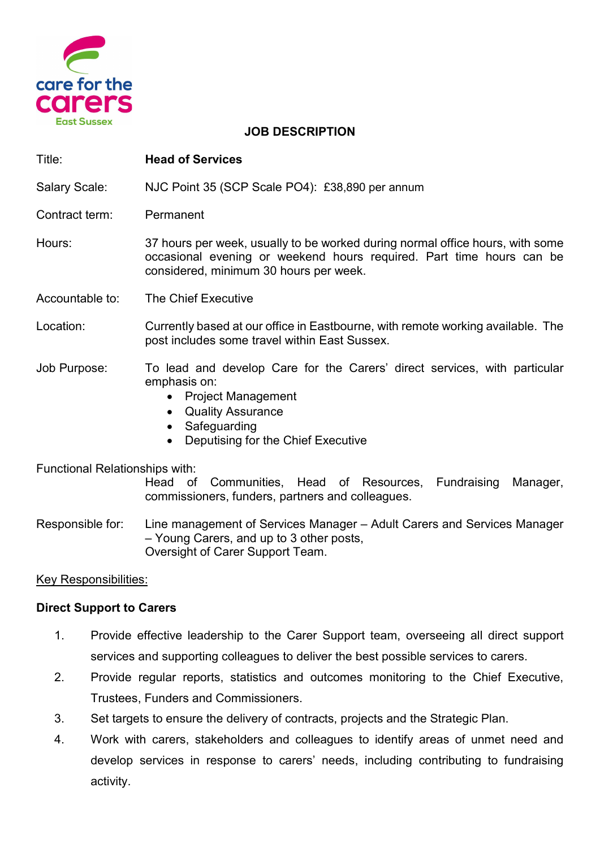

#### JOB DESCRIPTION

| Title:               | <b>Head of Services</b>                                                                                                                                                                         |
|----------------------|-------------------------------------------------------------------------------------------------------------------------------------------------------------------------------------------------|
| <b>Salary Scale:</b> | NJC Point 35 (SCP Scale PO4): £38,890 per annum                                                                                                                                                 |
| Contract term:       | Permanent                                                                                                                                                                                       |
| Hours:               | 37 hours per week, usually to be worked during normal office hours, with some<br>occasional evening or weekend hours required. Part time hours can be<br>considered, minimum 30 hours per week. |
| Accountable to:      | The Chief Executive                                                                                                                                                                             |
| Location:            | Currently based at our office in Eastbourne, with remote working available. The<br>post includes some travel within East Sussex.                                                                |
| Job Purpose:         | To lead and develop Care for the Carers' direct services, with particular<br>emphasis on:<br>• Project Management                                                                               |

- Quality Assurance
- **Safeguarding**
- Deputising for the Chief Executive

#### Functional Relationships with:

Head of Communities, Head of Resources, Fundraising Manager, commissioners, funders, partners and colleagues.

Responsible for: Line management of Services Manager – Adult Carers and Services Manager – Young Carers, and up to 3 other posts, Oversight of Carer Support Team.

## Key Responsibilities:

## Direct Support to Carers

- 1. Provide effective leadership to the Carer Support team, overseeing all direct support services and supporting colleagues to deliver the best possible services to carers.
- 2. Provide regular reports, statistics and outcomes monitoring to the Chief Executive, Trustees, Funders and Commissioners.
- 3. Set targets to ensure the delivery of contracts, projects and the Strategic Plan.
- 4. Work with carers, stakeholders and colleagues to identify areas of unmet need and develop services in response to carers' needs, including contributing to fundraising activity.